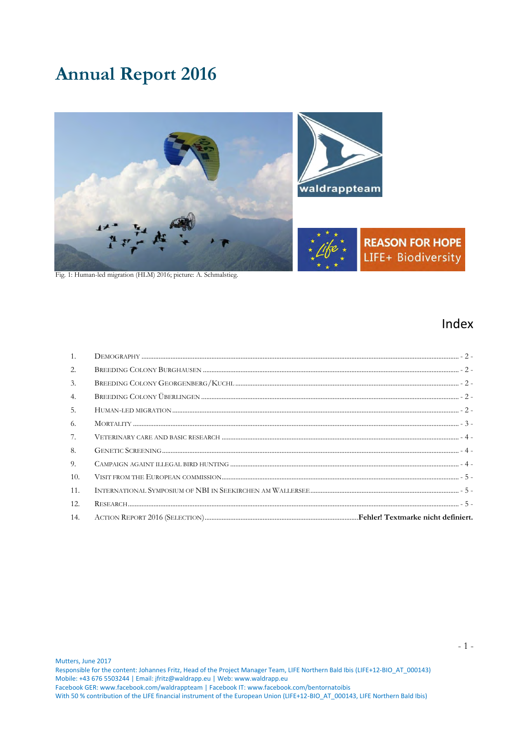# **Annual Report 2016**



Fig. 1: Human-led migration (HLM) 2016; picture: A. Schmalstieg.

# Index

| 1.  |  |
|-----|--|
| 2.  |  |
| 3.  |  |
| 4.  |  |
| 5.  |  |
| 6.  |  |
| 7.  |  |
| 8.  |  |
| 9.  |  |
| 10. |  |
| 11. |  |
| 12. |  |
| 14. |  |

<span id="page-0-0"></span>Mutters, June 2017

Responsible for the content: Johannes Fritz, Head of the Project Manager Team, LIFE Northern Bald Ibis (LIFE+12-BIO\_AT\_000143) Mobile: +43 676 5503244 | Email: jfritz@waldrapp.eu | Web: www.waldrapp.eu Facebook GER: www.facebook.com/waldrappteam | Facebook IT: www.facebook.com/bentornatoibis

With 50 % contribution of the LIFE financial instrument of the European Union (LIFE+12-BIO AT 000143, LIFE Northern Bald Ibis)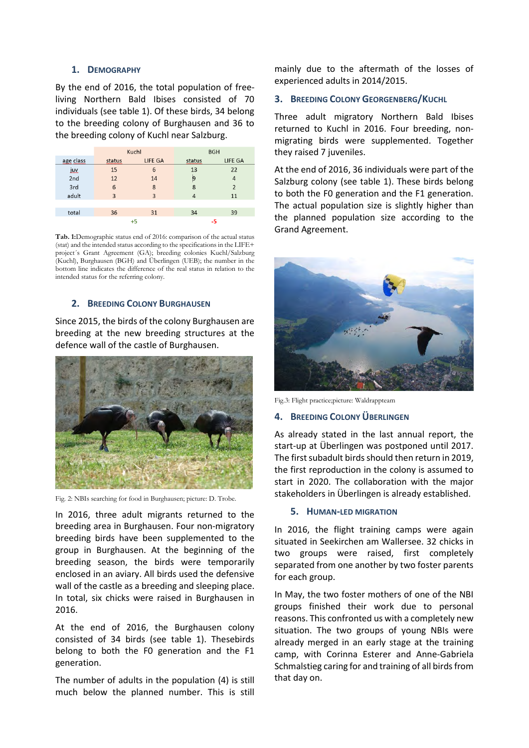# **1. DEMOGRAPHY**

By the end of 2016, the total population of freeliving Northern Bald Ibises consisted of 70 individuals (see table 1). Of these birds, 34 belong to the breeding colony of Burghausen and 36 to the breeding colony of Kuchl near Salzburg.

|            | Kuchl          |                | <b>BGH</b> |                |
|------------|----------------|----------------|------------|----------------|
| age class  | status         | LIFE GA        | status     | LIFE GA        |
| <u>juv</u> | 15             | 6              | 13         | 22             |
| 2nd        | 12             | 14             | 9          | 4              |
| 3rd        | 6              | 8              | 8          | $\overline{2}$ |
| adult      | $\overline{3}$ | $\overline{3}$ | 4          | 11             |
|            |                |                |            |                |
| total      | 36             | 31             | 34         | 39             |
|            | +5             |                | -5         |                |

**Tab. 1:**Demographic status end of 2016: comparison of the actual status (stat) and the intended status according to the specifications in the LIFE+ project´s Grant Agreement (GA); breeding colonies Kuchl/Salzburg (Kuchl), Burghausen (BGH) and Überlingen (UEB); the number in the bottom line indicates the difference of the real status in relation to the intended status for the referring colony.

# <span id="page-1-0"></span>**2. BREEDING COLONY BURGHAUSEN**

Since 2015, the birds of the colony Burghausen are breeding at the new breeding structures at the defence wall of the castle of Burghausen.



Fig. 2: NBIs searching for food in Burghausen; picture: D. Trobe.

In 2016, three adult migrants returned to the breeding area in Burghausen. Four non-migratory breeding birds have been supplemented to the group in Burghausen. At the beginning of the breeding season, the birds were temporarily enclosed in an aviary. All birds used the defensive wall of the castle as a breeding and sleeping place. In total, six chicks were raised in Burghausen in 2016.

At the end of 2016, the Burghausen colony consisted of 34 birds (see table 1). Thesebirds belong to both the F0 generation and the F1 generation.

The number of adults in the population (4) is still much below the planned number. This is still

mainly due to the aftermath of the losses of experienced adults in 2014/2015.

# <span id="page-1-1"></span>**3. BREEDING COLONY GEORGENBERG/KUCHL**

Three adult migratory Northern Bald Ibises returned to Kuchl in 2016. Four breeding, nonmigrating birds were supplemented. Together they raised 7 juveniles.

At the end of 2016, 36 individuals were part of the Salzburg colony (see table 1). These birds belong to both the F0 generation and the F1 generation. The actual population size is slightly higher than the planned population size according to the Grand Agreement.



Fig.3: Flight practice;picture: Waldrappteam

# <span id="page-1-2"></span>**4. BREEDING COLONY ÜBERLINGEN**

As already stated in the last annual report, the start-up at Überlingen was postponed until 2017. The first subadult birds should then return in 2019, the first reproduction in the colony is assumed to start in 2020. The collaboration with the major stakeholders in Überlingen is already established.

## <span id="page-1-3"></span>**5. HUMAN-LED MIGRATION**

In 2016, the flight training camps were again situated in Seekirchen am Wallersee. 32 chicks in two groups were raised, first completely separated from one another by two foster parents for each group.

In May, the two foster mothers of one of the NBI groups finished their work due to personal reasons. This confronted us with a completely new situation. The two groups of young NBIs were already merged in an early stage at the training camp, with Corinna Esterer and Anne-Gabriela Schmalstieg caring for and training of all birds from that day on.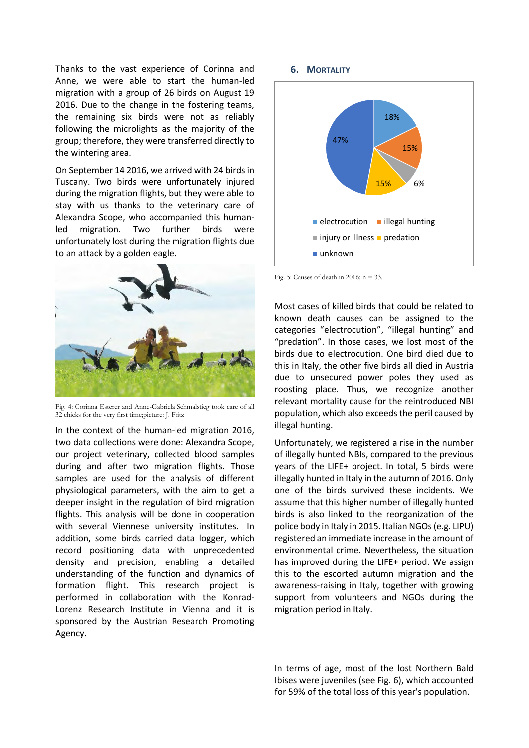Thanks to the vast experience of Corinna and Anne, we were able to start the human-led migration with a group of 26 birds on August 19 2016. Due to the change in the fostering teams, the remaining six birds were not as reliably following the microlights as the majority of the group; therefore, they were transferred directly to the wintering area.

On September 14 2016, we arrived with 24 birds in Tuscany. Two birds were unfortunately injured during the migration flights, but they were able to stay with us thanks to the veterinary care of Alexandra Scope, who accompanied this humanled migration. Two further birds were unfortunately lost during the migration flights due to an attack by a golden eagle.



Fig. 4: Corinna Esterer and Anne-Gabriela Schmalstieg took care of all 32 chicks for the very first time;picture: J. Fritz

In the context of the human-led migration 2016, two data collections were done: Alexandra Scope, our project veterinary, collected blood samples during and after two migration flights. Those samples are used for the analysis of different physiological parameters, with the aim to get a deeper insight in the regulation of bird migration flights. This analysis will be done in cooperation with several Viennese university institutes. In addition, some birds carried data logger, which record positioning data with unprecedented density and precision, enabling a detailed understanding of the function and dynamics of formation flight. This research project is performed in collaboration with the Konrad-Lorenz Research Institute in Vienna and it is sponsored by the Austrian Research Promoting Agency.

#### **6. MORTALITY**

<span id="page-2-0"></span>

Fig. 5: Causes of death in 2016;  $n = 33$ .

Most cases of killed birds that could be related to known death causes can be assigned to the categories "electrocution", "illegal hunting" and "predation". In those cases, we lost most of the birds due to electrocution. One bird died due to this in Italy, the other five birds all died in Austria due to unsecured power poles they used as roosting place. Thus, we recognize another relevant mortality cause for the reintroduced NBI population, which also exceeds the peril caused by illegal hunting.

Unfortunately, we registered a rise in the number of illegally hunted NBIs, compared to the previous years of the LIFE+ project. In total, 5 birds were illegally hunted in Italy in the autumn of 2016. Only one of the birds survived these incidents. We assume that this higher number of illegally hunted birds is also linked to the reorganization of the police body in Italy in 2015. Italian NGOs (e.g. LIPU) registered an immediate increase in the amount of environmental crime. Nevertheless, the situation has improved during the LIFE+ period. We assign this to the escorted autumn migration and the awareness-raising in Italy, together with growing support from volunteers and NGOs during the migration period in Italy.

In terms of age, most of the lost Northern Bald Ibises were juveniles (see Fig. 6), which accounted for 59% of the total loss of this year's population.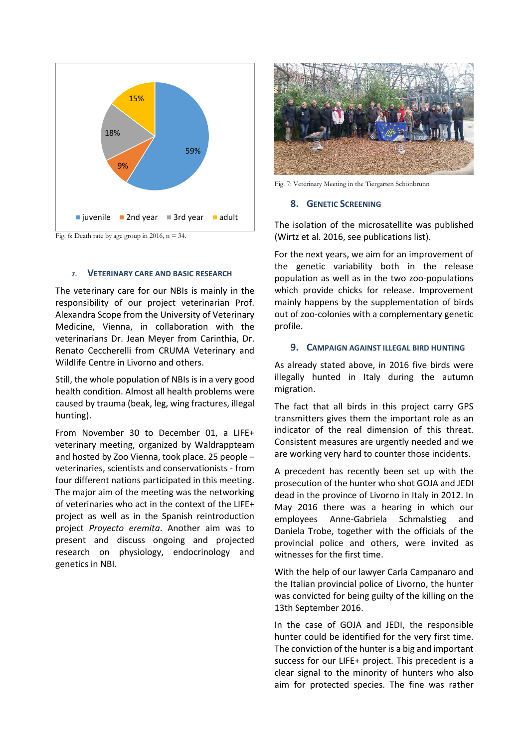

Fig. 6: Death rate by age group in 2016,  $n = 34$ .

#### **7. VETERINARY CARE AND BASIC RESEARCH**

The veterinary care for our NBIs is mainly in the responsibility of our project veterinarian Prof. Alexandra Scope from the University of Veterinary Medicine, Vienna, in collaboration with the veterinarians Dr. Jean Meyer from Carinthia, Dr. Renato Ceccherelli from CRUMA Veterinary and Wildlife Centre in Livorno and others.

Still, the whole population of NBIs is in a very good health condition. Almost all health problems were caused by trauma (beak, leg, wing fractures, illegal hunting).

From November 30 to December 01, a LIFE+ veterinary meeting, organized by Waldrappteam and hosted by Zoo Vienna, took place. 25 people – veterinaries, scientists and conservationists - from four different nations participated in this meeting. The major aim of the meeting was the networking of veterinaries who act in the context of the LIFE+ project as well as in the Spanish reintroduction project *Proyecto eremita*. Another aim was to present and discuss ongoing and projected research on physiology, endocrinology and genetics in NBI.



Fig. 7: Veterinary Meeting in the Tiergarten Schönbrunn

#### <span id="page-3-1"></span>**8. GENETIC SCREENING**

<span id="page-3-0"></span>The isolation of the microsatellite was published (Wirtz et al. 2016, see publications list).

For the next years, we aim for an improvement of the genetic variability both in the release population as well as in the two zoo-populations which provide chicks for release. Improvement mainly happens by the supplementation of birds out of zoo-colonies with a complementary genetic profile.

### <span id="page-3-2"></span>**9. CAMPAIGN AGAINST ILLEGAL BIRD HUNTING**

As already stated above, in 2016 five birds were illegally hunted in Italy during the autumn migration.

The fact that all birds in this project carry GPS transmitters gives them the important role as an indicator of the real dimension of this threat. Consistent measures are urgently needed and we are working very hard to counter those incidents.

A precedent has recently been set up with the prosecution of the hunter who shot GOJA and JEDI dead in the province of Livorno in Italy in 2012. In May 2016 there was a hearing in which our employees Anne-Gabriela Schmalstieg and Daniela Trobe, together with the officials of the provincial police and others, were invited as witnesses for the first time.

With the help of our lawyer Carla Campanaro and the Italian provincial police of Livorno, the hunter was convicted for being guilty of the killing on the 13th September 2016.

In the case of GOJA and JEDI, the responsible hunter could be identified for the very first time. The conviction of the hunter is a big and important success for our LIFE+ project. This precedent is a clear signal to the minority of hunters who also aim for protected species. The fine was rather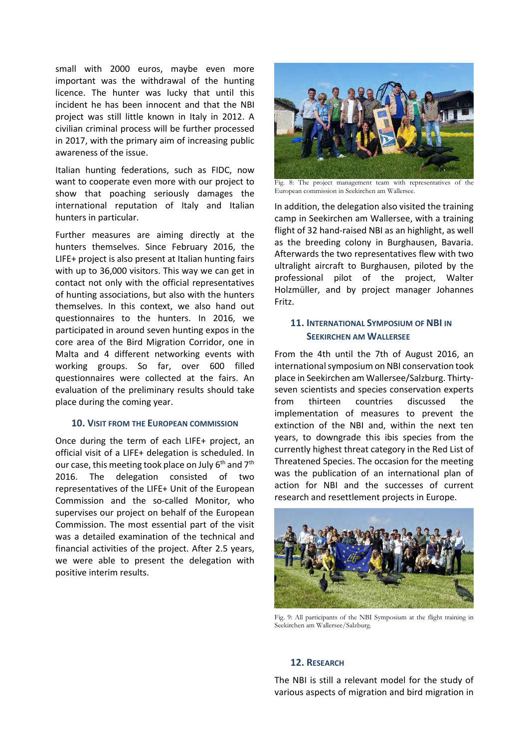small with 2000 euros, maybe even more important was the withdrawal of the hunting licence. The hunter was lucky that until this incident he has been innocent and that the NBI project was still little known in Italy in 2012. A civilian criminal process will be further processed in 2017, with the primary aim of increasing public awareness of the issue.

Italian hunting federations, such as FIDC, now want to cooperate even more with our project to show that poaching seriously damages the international reputation of Italy and Italian hunters in particular.

Further measures are aiming directly at the hunters themselves. Since February 2016, the LIFE+ project is also present at Italian hunting fairs with up to 36,000 visitors. This way we can get in contact not only with the official representatives of hunting associations, but also with the hunters themselves. In this context, we also hand out questionnaires to the hunters. In 2016, we participated in around seven hunting expos in the core area of the Bird Migration Corridor, one in Malta and 4 different networking events with working groups. So far, over 600 filled questionnaires were collected at the fairs. An evaluation of the preliminary results should take place during the coming year.

## <span id="page-4-0"></span>**10. VISIT FROM THE EUROPEAN COMMISSION**

Once during the term of each LIFE+ project, an official visit of a LIFE+ delegation is scheduled. In our case, this meeting took place on July 6<sup>th</sup> and 7<sup>th</sup> 2016. The delegation consisted of two representatives of the LIFE+ Unit of the European Commission and the so-called Monitor, who supervises our project on behalf of the European Commission. The most essential part of the visit was a detailed examination of the technical and financial activities of the project. After 2.5 years, we were able to present the delegation with positive interim results.



Fig. 8: The project management team with representatives of the European commission in Seekirchen am Wallersee.

In addition, the delegation also visited the training camp in Seekirchen am Wallersee, with a training flight of 32 hand-raised NBI as an highlight, as well as the breeding colony in Burghausen, Bavaria. Afterwards the two representatives flew with two ultralight aircraft to Burghausen, piloted by the professional pilot of the project, Walter Holzmüller, and by project manager Johannes Fritz.

# <span id="page-4-1"></span>**11. INTERNATIONAL SYMPOSIUM OF NBI IN SEEKIRCHEN AM WALLERSEE**

From the 4th until the 7th of August 2016, an international symposium on NBI conservation took place in Seekirchen am Wallersee/Salzburg. Thirtyseven scientists and species conservation experts from thirteen countries discussed the implementation of measures to prevent the extinction of the NBI and, within the next ten years, to downgrade this ibis species from the currently highest threat category in the Red List of Threatened Species. The occasion for the meeting was the publication of an international plan of action for NBI and the successes of current research and resettlement projects in Europe.



Fig. 9: All participants of the NBI Symposium at the flight training in Seekirchen am Wallersee/Salzburg.

# <span id="page-4-2"></span>**12. RESEARCH**

The NBI is still a relevant model for the study of various aspects of migration and bird migration in